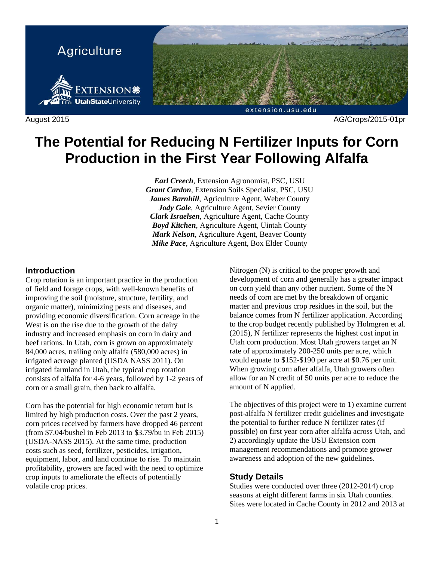

# **The Potential for Reducing N Fertilizer Inputs for Corn Production in the First Year Following Alfalfa**

*Earl Creech*, Extension Agronomist, PSC, USU *Grant Cardon*, Extension Soils Specialist, PSC, USU *James Barnhill*, Agriculture Agent, Weber County *Jody Gale*, Agriculture Agent, Sevier County *Clark Israelsen*, Agriculture Agent, Cache County *Boyd Kitchen*, Agriculture Agent, Uintah County *Mark Nelson*, Agriculture Agent, Beaver County *Mike Pace*, Agriculture Agent, Box Elder County

#### **Introduction**

Crop rotation is an important practice in the production of field and forage crops, with well-known benefits of improving the soil (moisture, structure, fertility, and organic matter), minimizing pests and diseases, and providing economic diversification. Corn acreage in the West is on the rise due to the growth of the dairy industry and increased emphasis on corn in dairy and beef rations. In Utah, corn is grown on approximately 84,000 acres, trailing only alfalfa (580,000 acres) in irrigated acreage planted (USDA NASS 2011). On irrigated farmland in Utah, the typical crop rotation consists of alfalfa for 4-6 years, followed by 1-2 years of corn or a small grain, then back to alfalfa.

Corn has the potential for high economic return but is limited by high production costs. Over the past 2 years, corn prices received by farmers have dropped 46 percent (from \$7.04/bushel in Feb 2013 to \$3.79/bu in Feb 2015) (USDA-NASS 2015). At the same time, production costs such as seed, fertilizer, pesticides, irrigation, equipment, labor, and land continue to rise. To maintain profitability, growers are faced with the need to optimize crop inputs to ameliorate the effects of potentially volatile crop prices.

Nitrogen (N) is critical to the proper growth and development of corn and generally has a greater impact on corn yield than any other nutrient. Some of the N needs of corn are met by the breakdown of organic matter and previous crop residues in the soil, but the balance comes from N fertilizer application. According to the crop budget recently published by Holmgren et al. (2015), N fertilizer represents the highest cost input in Utah corn production. Most Utah growers target an N rate of approximately 200-250 units per acre, which would equate to \$152-\$190 per acre at \$0.76 per unit. When growing corn after alfalfa, Utah growers often allow for an N credit of 50 units per acre to reduce the amount of N applied.

The objectives of this project were to 1) examine current post-alfalfa N fertilizer credit guidelines and investigate the potential to further reduce N fertilizer rates (if possible) on first year corn after alfalfa across Utah, and 2) accordingly update the USU Extension corn management recommendations and promote grower awareness and adoption of the new guidelines.

#### **Study Details**

Studies were conducted over three (2012-2014) crop seasons at eight different farms in six Utah counties. Sites were located in Cache County in 2012 and 2013 at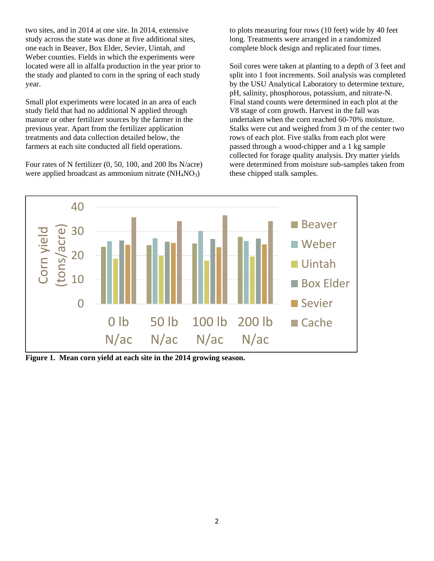two sites, and in 2014 at one site. In 2014, extensive study across the state was done at five additional sites, one each in Beaver, Box Elder, Sevier, Uintah, and Weber counties. Fields in which the experiments were located were all in alfalfa production in the year prior to the study and planted to corn in the spring of each study year.

Small plot experiments were located in an area of each study field that had no additional N applied through manure or other fertilizer sources by the farmer in the previous year. Apart from the fertilizer application treatments and data collection detailed below, the farmers at each site conducted all field operations.

Four rates of N fertilizer (0, 50, 100, and 200 lbs N/acre) were applied broadcast as ammonium nitrate (NH<sub>4</sub>NO<sub>3</sub>)

to plots measuring four rows (10 feet) wide by 40 feet long. Treatments were arranged in a randomized complete block design and replicated four times.

Soil cores were taken at planting to a depth of 3 feet and split into 1 foot increments. Soil analysis was completed by the USU Analytical Laboratory to determine texture, pH, salinity, phosphorous, potassium, and nitrate-N. Final stand counts were determined in each plot at the V8 stage of corn growth. Harvest in the fall was undertaken when the corn reached 60-70% moisture. Stalks were cut and weighed from 3 m of the center two rows of each plot. Five stalks from each plot were passed through a wood-chipper and a 1 kg sample collected for forage quality analysis. Dry matter yields were determined from moisture sub-samples taken from these chipped stalk samples.



**Figure 1. Mean corn yield at each site in the 2014 growing season.**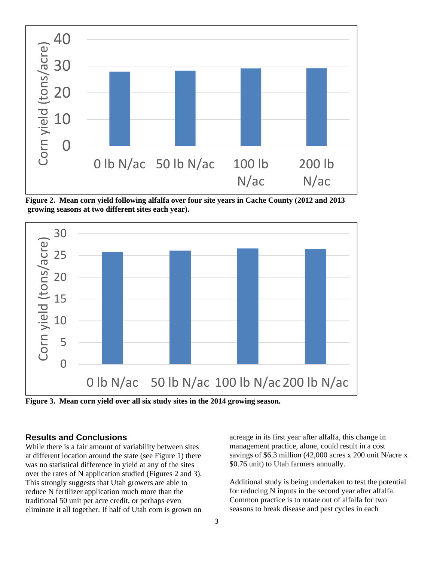

**Figure 2. Mean corn yield following alfalfa over four site years in Cache County (2012 and 2013 growing seasons at two different sites each year).** 



**Figure 3. Mean corn yield over all six study sites in the 2014 growing season.** 

#### **Results and Conclusions**

While there is a fair amount of variability between sites at different location around the state (see Figure 1) there was no statistical difference in yield at any of the sites over the rates of N application studied (Figures 2 and 3). This strongly suggests that Utah growers are able to reduce N fertilizer application much more than the traditional 50 unit per acre credit, or perhaps even eliminate it all together. If half of Utah corn is grown on

acreage in its first year after alfalfa, this change in management practice, alone, could result in a cost savings of \$6.3 million (42,000 acres x 200 unit N/acre x \$0.76 unit) to Utah farmers annually.

Additional study is being undertaken to test the potential for reducing N inputs in the second year after alfalfa. Common practice is to rotate out of alfalfa for two seasons to break disease and pest cycles in each